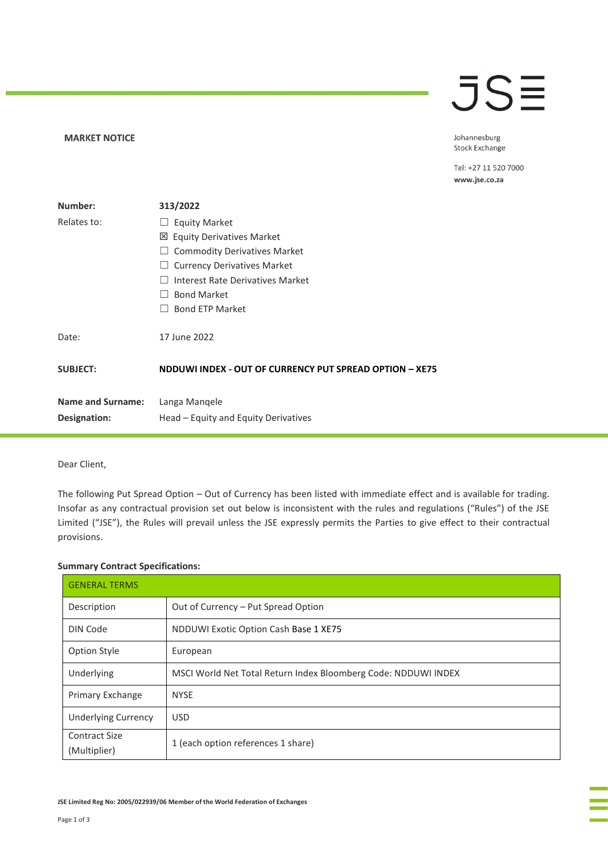### **MARKET NOTICE**

## **JSE**

Johannesburg Stock Exchange

Tel: +27 11 520 7000 www.jse.co.za

| Number:                  | 313/2022                                                |
|--------------------------|---------------------------------------------------------|
| Relates to:              | <b>Equity Market</b>                                    |
|                          | <b>Equity Derivatives Market</b><br>⊠                   |
|                          | <b>Commodity Derivatives Market</b>                     |
|                          | <b>Currency Derivatives Market</b>                      |
|                          | Interest Rate Derivatives Market                        |
|                          | <b>Bond Market</b>                                      |
|                          | <b>Bond ETP Market</b>                                  |
| Date:                    | 17 June 2022                                            |
| <b>SUBJECT:</b>          | NDDUWI INDEX - OUT OF CURRENCY PUT SPREAD OPTION - XE75 |
| <b>Name and Surname:</b> | Langa Mangele                                           |
| Designation:             | Head – Equity and Equity Derivatives                    |

## Dear Client,

The following Put Spread Option – Out of Currency has been listed with immediate effect and is available for trading. Insofar as any contractual provision set out below is inconsistent with the rules and regulations ("Rules") of the JSE Limited ("JSE"), the Rules will prevail unless the JSE expressly permits the Parties to give effect to their contractual provisions.

### **Summary Contract Specifications:**

| <b>GENERAL TERMS</b>                 |                                                                |  |
|--------------------------------------|----------------------------------------------------------------|--|
| Description                          | Out of Currency - Put Spread Option                            |  |
| DIN Code                             | NDDUWI Exotic Option Cash Base 1 XE75                          |  |
| <b>Option Style</b>                  | European                                                       |  |
| Underlying                           | MSCI World Net Total Return Index Bloomberg Code: NDDUWI INDEX |  |
| Primary Exchange                     | <b>NYSE</b>                                                    |  |
| <b>Underlying Currency</b>           | <b>USD</b>                                                     |  |
| <b>Contract Size</b><br>(Multiplier) | 1 (each option references 1 share)                             |  |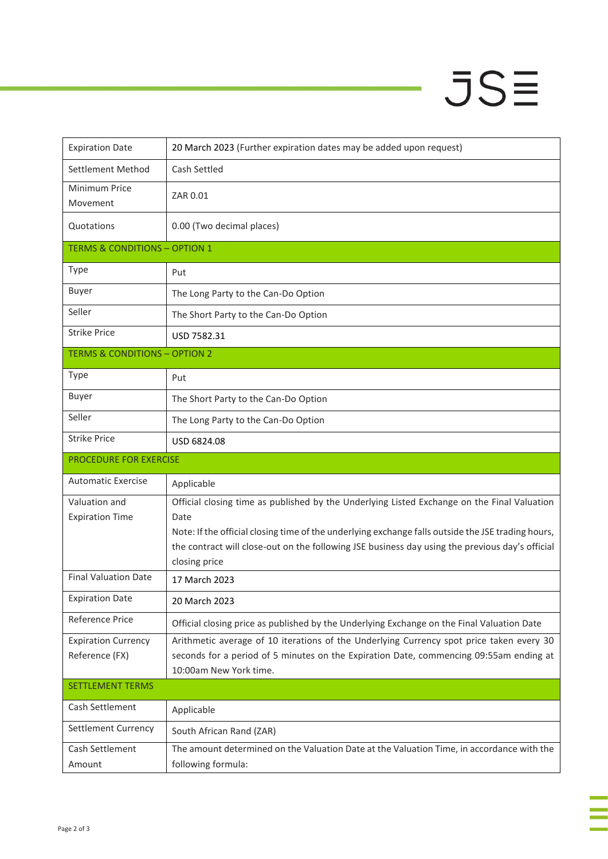# $JSE$

÷

à,

| <b>Expiration Date</b>                   | 20 March 2023 (Further expiration dates may be added upon request)                                                                                                                                    |
|------------------------------------------|-------------------------------------------------------------------------------------------------------------------------------------------------------------------------------------------------------|
| Settlement Method                        | Cash Settled                                                                                                                                                                                          |
| Minimum Price<br>Movement                | ZAR 0.01                                                                                                                                                                                              |
| Quotations                               | 0.00 (Two decimal places)                                                                                                                                                                             |
| <b>TERMS &amp; CONDITIONS - OPTION 1</b> |                                                                                                                                                                                                       |
| Type                                     | Put                                                                                                                                                                                                   |
| <b>Buyer</b>                             | The Long Party to the Can-Do Option                                                                                                                                                                   |
| Seller                                   | The Short Party to the Can-Do Option                                                                                                                                                                  |
| <b>Strike Price</b>                      | USD 7582.31                                                                                                                                                                                           |
| <b>TERMS &amp; CONDITIONS - OPTION 2</b> |                                                                                                                                                                                                       |
| <b>Type</b>                              | Put                                                                                                                                                                                                   |
| <b>Buyer</b>                             | The Short Party to the Can-Do Option                                                                                                                                                                  |
| Seller                                   | The Long Party to the Can-Do Option                                                                                                                                                                   |
| <b>Strike Price</b>                      | USD 6824.08                                                                                                                                                                                           |
|                                          |                                                                                                                                                                                                       |
| PROCEDURE FOR EXERCISE                   |                                                                                                                                                                                                       |
| <b>Automatic Exercise</b>                | Applicable                                                                                                                                                                                            |
| Valuation and                            | Official closing time as published by the Underlying Listed Exchange on the Final Valuation                                                                                                           |
| <b>Expiration Time</b>                   | Date                                                                                                                                                                                                  |
|                                          | Note: If the official closing time of the underlying exchange falls outside the JSE trading hours,<br>the contract will close-out on the following JSE business day using the previous day's official |
|                                          | closing price                                                                                                                                                                                         |
| <b>Final Valuation Date</b>              | 17 March 2023                                                                                                                                                                                         |
| <b>Expiration Date</b>                   | 20 March 2023                                                                                                                                                                                         |
| Reference Price                          | Official closing price as published by the Underlying Exchange on the Final Valuation Date                                                                                                            |
| <b>Expiration Currency</b>               | Arithmetic average of 10 iterations of the Underlying Currency spot price taken every 30                                                                                                              |
| Reference (FX)                           | seconds for a period of 5 minutes on the Expiration Date, commencing 09:55am ending at                                                                                                                |
|                                          | 10:00am New York time.                                                                                                                                                                                |
| <b>SETTLEMENT TERMS</b>                  |                                                                                                                                                                                                       |
| Cash Settlement                          | Applicable                                                                                                                                                                                            |
| Settlement Currency                      | South African Rand (ZAR)                                                                                                                                                                              |
| Cash Settlement<br>Amount                | The amount determined on the Valuation Date at the Valuation Time, in accordance with the<br>following formula:                                                                                       |